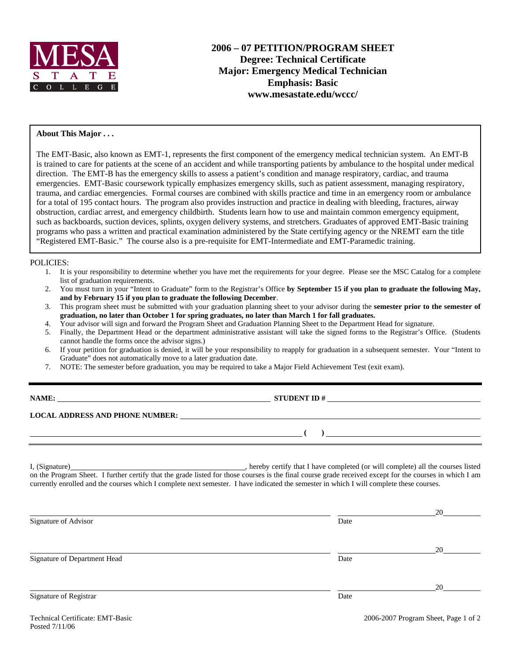

### **About This Major . . .**

The EMT-Basic, also known as EMT-1, represents the first component of the emergency medical technician system. An EMT-B is trained to care for patients at the scene of an accident and while transporting patients by ambulance to the hospital under medical direction. The EMT-B has the emergency skills to assess a patient's condition and manage respiratory, cardiac, and trauma emergencies. EMT-Basic coursework typically emphasizes emergency skills, such as patient assessment, managing respiratory, trauma, and cardiac emergencies. Formal courses are combined with skills practice and time in an emergency room or ambulance for a total of 195 contact hours. The program also provides instruction and practice in dealing with bleeding, fractures, airway obstruction, cardiac arrest, and emergency childbirth. Students learn how to use and maintain common emergency equipment, such as backboards, suction devices, splints, oxygen delivery systems, and stretchers. Graduates of approved EMT-Basic training programs who pass a written and practical examination administered by the State certifying agency or the NREMT earn the title "Registered EMT-Basic." The course also is a pre-requisite for EMT-Intermediate and EMT-Paramedic training.

#### POLICIES:

- 1. It is your responsibility to determine whether you have met the requirements for your degree. Please see the MSC Catalog for a complete list of graduation requirements.
- 2. You must turn in your "Intent to Graduate" form to the Registrar's Office **by September 15 if you plan to graduate the following May, and by February 15 if you plan to graduate the following December**.
- 3. This program sheet must be submitted with your graduation planning sheet to your advisor during the **semester prior to the semester of graduation, no later than October 1 for spring graduates, no later than March 1 for fall graduates.**
- 4. Your advisor will sign and forward the Program Sheet and Graduation Planning Sheet to the Department Head for signature.
- 5. Finally, the Department Head or the department administrative assistant will take the signed forms to the Registrar's Office. (Students cannot handle the forms once the advisor signs.)
- 6. If your petition for graduation is denied, it will be your responsibility to reapply for graduation in a subsequent semester. Your "Intent to Graduate" does not automatically move to a later graduation date.
- 7. NOTE: The semester before graduation, you may be required to take a Major Field Achievement Test (exit exam).

**NAME: STUDENT ID # STUDENT ID # STUDENT ID # STUDENT ID # STUDENT ID # STUDENT ID # STUDENT ID # STUDENT ID # STUDENT ID # STUDENT 1D + STUDENT 1D + STUDENT 1D + STUDENT 1D + STUDENT 1D + STU** 

 **( )** 

#### **LOCAL ADDRESS AND PHONE NUMBER:**

I, (Signature) , hereby certify that I have completed (or will complete) all the courses listed on the Program Sheet. I further certify that the grade listed for those courses is the final course grade received except for the courses in which I am currently enrolled and the courses which I complete next semester. I have indicated the semester in which I will complete these courses.

| Date | 20   |
|------|------|
|      |      |
| Date | 20   |
|      | 20   |
|      | Date |